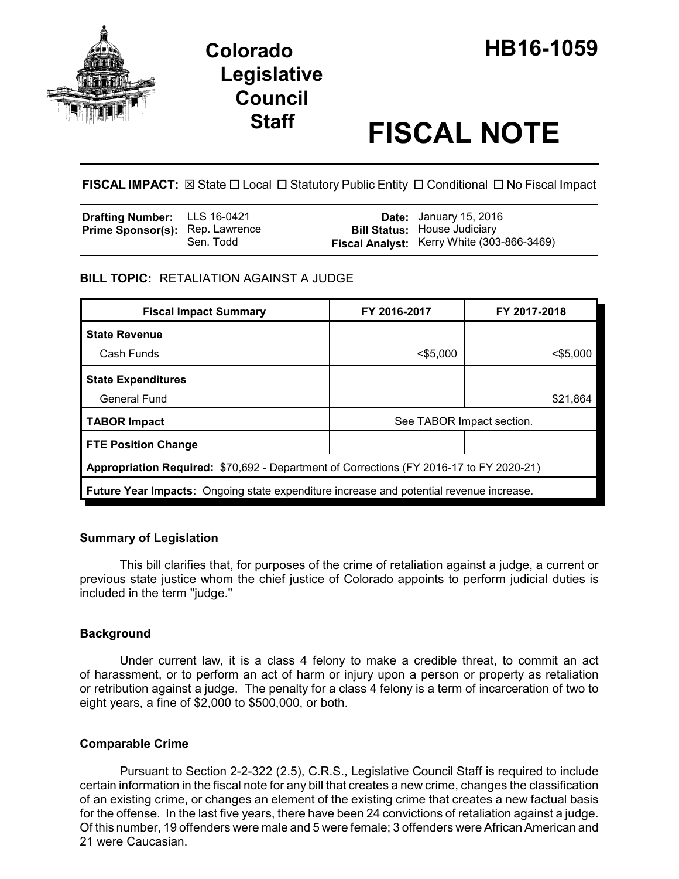

# **Staff FISCAL NOTE**

**FISCAL IMPACT:** ⊠ State □ Local □ Statutory Public Entity □ Conditional □ No Fiscal Impact

| <b>Drafting Number:</b> LLS 16-0421    |           | <b>Date:</b> January 15, 2016                     |
|----------------------------------------|-----------|---------------------------------------------------|
| <b>Prime Sponsor(s): Rep. Lawrence</b> |           | <b>Bill Status: House Judiciary</b>               |
|                                        | Sen. Todd | <b>Fiscal Analyst:</b> Kerry White (303-866-3469) |

## **BILL TOPIC:** RETALIATION AGAINST A JUDGE

| <b>Fiscal Impact Summary</b>                                                            | FY 2016-2017              | FY 2017-2018 |  |  |  |  |
|-----------------------------------------------------------------------------------------|---------------------------|--------------|--|--|--|--|
| <b>State Revenue</b>                                                                    |                           |              |  |  |  |  |
| Cash Funds                                                                              | $<$ \$5,000               | $<$ \$5.000  |  |  |  |  |
| <b>State Expenditures</b>                                                               |                           |              |  |  |  |  |
| <b>General Fund</b>                                                                     |                           | \$21,864     |  |  |  |  |
| <b>TABOR Impact</b>                                                                     | See TABOR Impact section. |              |  |  |  |  |
| <b>FTE Position Change</b>                                                              |                           |              |  |  |  |  |
| Appropriation Required: \$70,692 - Department of Corrections (FY 2016-17 to FY 2020-21) |                           |              |  |  |  |  |
| Future Year Impacts: Ongoing state expenditure increase and potential revenue increase. |                           |              |  |  |  |  |

#### **Summary of Legislation**

This bill clarifies that, for purposes of the crime of retaliation against a judge, a current or previous state justice whom the chief justice of Colorado appoints to perform judicial duties is included in the term "judge."

## **Background**

Under current law, it is a class 4 felony to make a credible threat, to commit an act of harassment, or to perform an act of harm or injury upon a person or property as retaliation or retribution against a judge. The penalty for a class 4 felony is a term of incarceration of two to eight years, a fine of \$2,000 to \$500,000, or both.

## **Comparable Crime**

Pursuant to Section 2-2-322 (2.5), C.R.S., Legislative Council Staff is required to include certain information in the fiscal note for any bill that creates a new crime, changes the classification of an existing crime, or changes an element of the existing crime that creates a new factual basis for the offense. In the last five years, there have been 24 convictions of retaliation against a judge. Of this number, 19 offenders were male and 5 were female; 3 offenders were African American and 21 were Caucasian.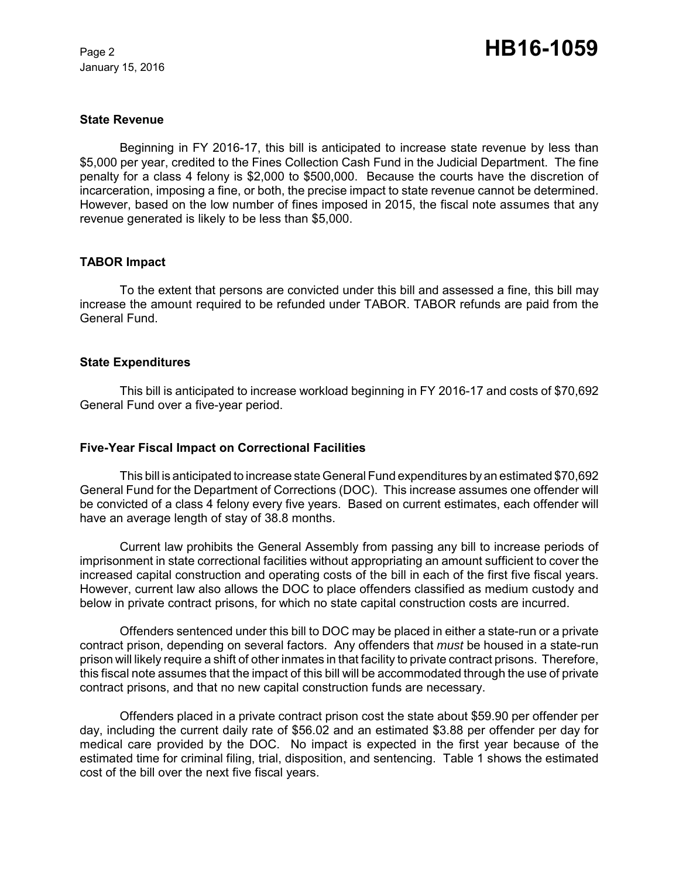January 15, 2016

#### **State Revenue**

Beginning in FY 2016-17, this bill is anticipated to increase state revenue by less than \$5,000 per year, credited to the Fines Collection Cash Fund in the Judicial Department. The fine penalty for a class 4 felony is \$2,000 to \$500,000. Because the courts have the discretion of incarceration, imposing a fine, or both, the precise impact to state revenue cannot be determined. However, based on the low number of fines imposed in 2015, the fiscal note assumes that any revenue generated is likely to be less than \$5,000.

## **TABOR Impact**

To the extent that persons are convicted under this bill and assessed a fine, this bill may increase the amount required to be refunded under TABOR. TABOR refunds are paid from the General Fund.

## **State Expenditures**

This bill is anticipated to increase workload beginning in FY 2016-17 and costs of \$70,692 General Fund over a five-year period.

#### **Five-Year Fiscal Impact on Correctional Facilities**

This bill is anticipated to increase state General Fund expenditures by an estimated \$70,692 General Fund for the Department of Corrections (DOC). This increase assumes one offender will be convicted of a class 4 felony every five years. Based on current estimates, each offender will have an average length of stay of 38.8 months.

Current law prohibits the General Assembly from passing any bill to increase periods of imprisonment in state correctional facilities without appropriating an amount sufficient to cover the increased capital construction and operating costs of the bill in each of the first five fiscal years. However, current law also allows the DOC to place offenders classified as medium custody and below in private contract prisons, for which no state capital construction costs are incurred.

Offenders sentenced under this bill to DOC may be placed in either a state-run or a private contract prison, depending on several factors. Any offenders that *must* be housed in a state-run prison will likely require a shift of other inmates in that facility to private contract prisons. Therefore, this fiscal note assumes that the impact of this bill will be accommodated through the use of private contract prisons, and that no new capital construction funds are necessary.

Offenders placed in a private contract prison cost the state about \$59.90 per offender per day, including the current daily rate of \$56.02 and an estimated \$3.88 per offender per day for medical care provided by the DOC. No impact is expected in the first year because of the estimated time for criminal filing, trial, disposition, and sentencing. Table 1 shows the estimated cost of the bill over the next five fiscal years.